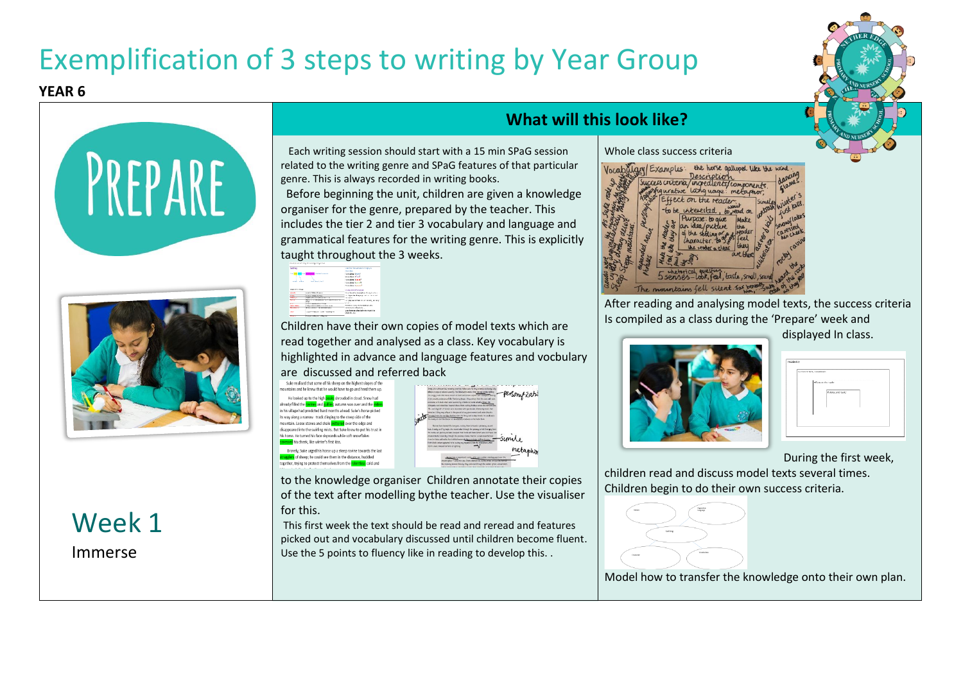# Exemplification of 3 steps to writing by Year Group

#### **YEAR 6**



## Week 1 Immerse

### **What will this look like?**

 Each writing session should start with a 15 min SPaG session related to the writing genre and SPaG features of that particular genre. This is always recorded in writing books.

Before beginning the unit, children are given a knowledge organiser for the genre, prepared by the teacher. This includes the tier 2 and tier 3 vocabulary and language and grammatical features for the writing genre. This is explicitly taught throughout the 3 weeks.

| <b>WTO3</b><br><b>CONTRACT</b> of attack one six.<br>The Bank Co. |                                       | Use the fire series to his you.<br><b>Association</b><br><b>Energian Block P</b><br>wardness (felt)               |  |
|-------------------------------------------------------------------|---------------------------------------|-------------------------------------------------------------------------------------------------------------------|--|
| ---                                                               | <b>Carl American</b>                  | <b><i>University of America</i></b><br><b>Englished Burns III</b><br><b>Transfers Forest</b>                      |  |
|                                                                   |                                       |                                                                                                                   |  |
|                                                                   |                                       |                                                                                                                   |  |
| <b>MARINE FOLLOW</b>                                              |                                       | Chatter description                                                                                               |  |
| adviser                                                           | more and development                  | the choracter department is such edges                                                                            |  |
|                                                                   |                                       |                                                                                                                   |  |
| Rw.                                                               | work of the change.                   | to the added to a complete contract of                                                                            |  |
| marco.                                                            | <b>NATIONAL CONTRACTOR</b>            | <b>ALCOHOL</b>                                                                                                    |  |
| ÷                                                                 | decorated reduced automations for     |                                                                                                                   |  |
| <b>YSP</b>                                                        | <b>CONTINUES INCOMENDATION</b>        | <b>STORY OF</b>                                                                                                   |  |
| <b>CONTRACTOR</b>                                                 | side tracers plan to consumer and     | Continue a selection addition sales                                                                               |  |
| <b>Belleville of the</b>                                          | Final County To The months down.      | mountered and great are                                                                                           |  |
| <b>Cardon</b>                                                     | registerer die von mille vereinig der | the advertised definition or computer and only<br>insultaneous description to on online.<br><b>Identify</b> , 500 |  |

Children have their own copies of model texts which are read together and analysed as a class. Key vocabulary is highlighted in advance and language features and vocbulary are discussed and referred back

| Suke realised that some of his sneep on the highest slopes of the<br>mountains and he knew that he would have to go and herd them up. |  |
|---------------------------------------------------------------------------------------------------------------------------------------|--|
|                                                                                                                                       |  |
| He looked up to the high <b>peaks</b> shrouded in cloud. Snow had                                                                     |  |
| already filled the ravines and <b>gullies</b> ; autumn was over and the elders                                                        |  |
| in his village had predicted hard months ahead. Suke's horse picked                                                                   |  |
| its way along a narrow track clinging to the steep side of the                                                                        |  |
| mountain. Loose stones and shale skittered over the edge and                                                                          |  |
| disappeared into the swirling mists. But Suke knew to put his trust in                                                                |  |
| his horse. He turned his face skywards while soft snowflakes                                                                          |  |
| caressed his cheek. like winter's first kiss.                                                                                         |  |
| Bravely, Suke urged his horse up a steep ravine towards the last                                                                      |  |
| stragglers of sheep: he could see them in the distance, huddled                                                                       |  |
| together, trying to protect themselves from the relentiess cold and                                                                   |  |
|                                                                                                                                       |  |

to the knowledge organiser Children annotate their copies of the text after modelling bythe teacher. Use the visualiser for this.

This first week the text should be read and reread and features picked out and vocabulary discussed until children become fluent. Use the 5 points to fluency like in reading to develop this. .





Whole class success criteria

After reading and analysing model texts, the success criteria Is compiled as a class during the 'Prepare' week and

displayed In class.



| ocabatany                  |                    |  |
|----------------------------|--------------------|--|
| Survey Others / Insertimes |                    |  |
|                            | filled and or code |  |
|                            | Pursuan and reader |  |
|                            |                    |  |
|                            |                    |  |
|                            |                    |  |

During the first week,

children read and discuss model texts several times. Children begin to do their own success criteria.



Model how to transfer the knowledge onto their own plan.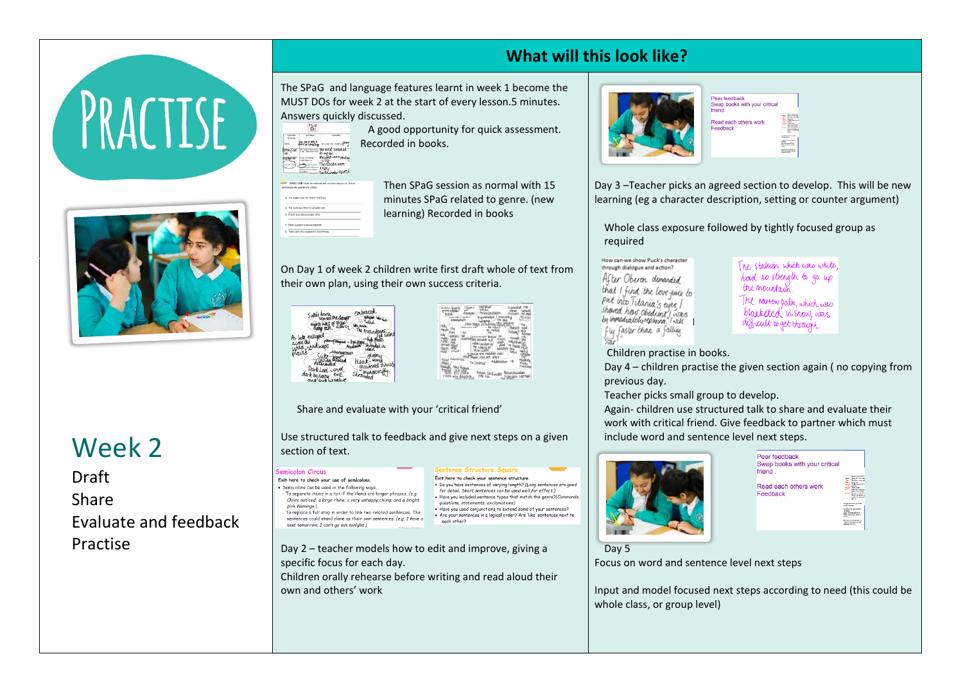



Week 2

Draft Share Evaluate and feedback Practise

### **What will this look like?**

The SPaG and language features learnt in week 1 become the MUST DOs for week 2 at the start of every lesson.5 minutes. Answers quickly discussed.

 A good opportunity for quick assessment. Recorded in books.



**MARINE STATE** 

**College the contract de**  $rac{1}{2}$ 

Then SPaG session as normal with 15 minutes SPaG related to genre. (new learning) Recorded in books

On Day 1 of week 2 children write first draft whole of text from their own plan, using their own success criteria.





ntence Structure Square

Exit here to check your sentence structure

questions statements exclamations)

each other?

• Do you have sentences of varying length? (Long sentences are good

for detail. Short sentences can be used well for effect.)

Have you included sentence types that match the genre?  $\hat{c}$ 

. Have you used conjunctions to extend some of your sentences?

Are your sentences in a logical order? Are 'like' sentences next to

Share and evaluate with your 'critical friend'

Use structured talk to feedback and give next steps on a given section of text.

#### **iemicolon Circus**

Exit here to check your use of semicolons.<br>• Semicolons can be used in the following ways - To separate items in a list if the items are longer phrases. (e.g. Claire noticed: a large rhino; a very unhappy chimp; and a bright pink flamingo.) - To replace a full stop in order to link two related sentences. The sentences could stand alone as their own sentences. (e.g. I have a test tomorrow; I can't go out tonight.)

Day 2 – teacher models how to edit and improve, giving a specific focus for each day.

Children orally rehearse before writing and read aloud their own and others' work



| Peer feedback                           |                  |                                                                                                     |
|-----------------------------------------|------------------|-----------------------------------------------------------------------------------------------------|
| Swap books with your critical<br>friend |                  |                                                                                                     |
| Read each others work<br>Feedback       | ---              | <b>CONTRACTOR</b><br>----<br><b>WASHINGTON</b>                                                      |
|                                         | and manager<br>- | -------------<br><b>College Avenue School</b><br><b>Council And Took</b><br>the motive & collection |
|                                         | parameters from  | <b>Deadley Seattle Links</b><br><b>Ball are Electric Fill</b>                                       |

Day 3 –Teacher picks an agreed section to develop. This will be new learning (eg a character description, setting or counter argument)

Whole class exposure followed by tightly focused group as required

How can we show Puck's character through dialogue and action? After Oberon demanded that I find the love puce to put into Titania's eyes /<br>shaved how obedient / was<br>by immediately replying / will fly faster than a falling  $\frac{1}{2}$ 

The stallion which was white had no strength to go up the mountain The narrow path, which was blanketed in show, was

difficult to get through

Children practise in books.

Day 4 – children practise the given section again ( no copying from previous day.

Teacher picks small group to develop.

Again- children use structured talk to share and evaluate their work with critical friend. Give feedback to partner which must include word and sentence level next steps.





Day 5

Focus on word and sentence level next steps

Input and model focused next steps according to need (this could be whole class, or group level)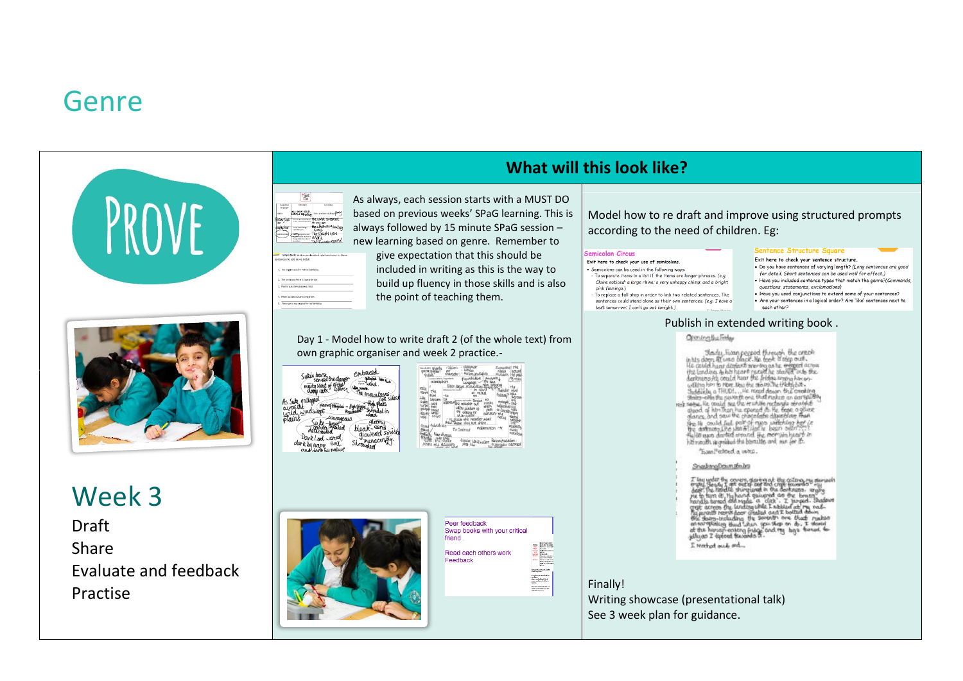# Genre